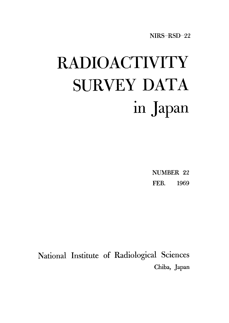# **RADIOACTIVITY** SURVEY DATA in Japan

**NUMBER 22** FEB. 1969

National Institute of Radiological Sciences Chiba, Japan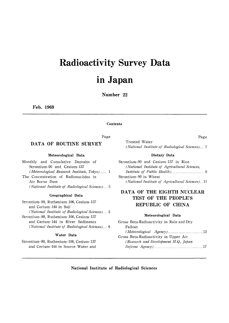# **Radioactivity Survey Data**

# in Japan

Number 22

Feb. 1969

#### Contents

Page

#### DATA OF ROUTINE SURVEY

Meteorological Data

Monthly and Cumulative Deposits of Strontium-90 and Cesium-137 (Meteorological Research Institute, Tokyo)...... 1 The Concentration of Radionuclides in Air Borne Dust (National Institute of Radiological Sciences)... 3

#### Geographical Data

Strontium-90, Ruthenium-106, Cesium-137 and Cerium-144 in Soil (National Institute of Radiological Sciences)... 5 Strontium-90, Ruthenium-106, Cesium-137 and Cerium-144 in River Sediments (National Institute of Radiological Sciences)... 6

#### Water Data

Strontium-90, Ruthenium-106, Cesium-137 and Cerium-144 in Source Water and Treated Water (National Institute of Radiological Sciences)... 7

#### Dietary Data

Strontium-90 and Cesium-137 in Rice (National Institute of Agricultural Sciences, Strontium-90 in Wheat (National Institute of Agricultural Sciences)...11

#### DATA OF THE EIGHTH NUCLEAR TEST OF THE PEOPLE'S REPUBLIC OF CHINA

#### Meteorological Data

| Gross Beta-Radioactivity in Rain and Dry |  |
|------------------------------------------|--|
| Fallout                                  |  |
|                                          |  |
| Gross Beta-Radioactivity in Upper Air    |  |
| (Research and Development H.Q., Japan    |  |
|                                          |  |
|                                          |  |

National Institute of Radiological Sciences

#### Page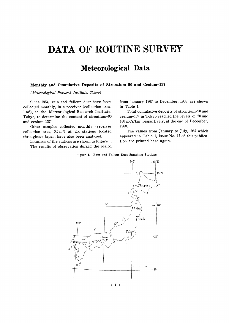# DATA OF ROUTINE SURVEY

### Meteorological Data

#### Monthly and Cumulative Deposits of Strontium-90 and Cesium-137

(Meteorological Research Institute, Tokyo)

Since 1954, rain and fallout dust have been collected monthly, in a receiver (collection area, 1 m<sup>2</sup>), at the Meteorological Research Institute, Tokyo, to determine the content of strontium-90 and cesium-137.

Other samples collected monthly (receiver collection area,  $0.5 \text{ m}^2$ ) at six stations located throughout Japan, have also been analyzed.

Locations of the stations are shown in Figure 1. The results of observation during the period from January 1967 to December, 1968 are shown in Table 1.

Total cumulative deposits of strontium-90 and cesium-137 in Tokyo reached the levels of 70 and 188 mCi/km<sup>2</sup> respectively, at the end of December, 1968.

The values from January to July, 1967 which appeared in Table 1, Issue No. 17 of this publication are printed here again.

Figure 1. Rain and Fallout Dust Sampling Stations



 $(1)$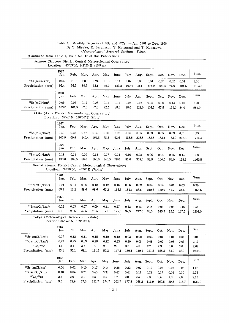|                                                               |                                                                    |            |       |            |          | Table 1, Monthly Deposits of <sup>90</sup> Sr and <sup>137</sup> Cs - Jan. 1967 to Dec. 1968-<br>By Y. Miyake, K. Saruhashi, Y. Katsuragi and T. Kanazawa |       |           |       |         |       |           |        |
|---------------------------------------------------------------|--------------------------------------------------------------------|------------|-------|------------|----------|-----------------------------------------------------------------------------------------------------------------------------------------------------------|-------|-----------|-------|---------|-------|-----------|--------|
|                                                               |                                                                    |            |       |            |          | (Meteorological Research Institute, Tokyo)                                                                                                                |       |           |       |         |       |           |        |
| (Continued from Table 1, Issue No. 17 of this Publication)    |                                                                    |            |       |            |          |                                                                                                                                                           |       |           |       |         |       |           |        |
| Sapporo (Sapporo District Central Meteorological Observatory) | Location: $43^{\circ}03'$ N, $141^{\circ}20'$ E (16.9 m)           |            |       |            |          |                                                                                                                                                           |       |           |       |         |       |           |        |
|                                                               | 1967                                                               |            |       |            |          |                                                                                                                                                           |       |           |       |         |       |           |        |
|                                                               | Jan.                                                               | Feb.       | Mar.  | Apr.       | May      | June                                                                                                                                                      | July  | Aug.      | Sept. | Oct.    | Nov.  | Dec.      | Sum.   |
| $90Sr(mCi/km^2)$                                              | 0.04                                                               | 0.10       | 0.09  | 0.24       | 0.13     | 0.11                                                                                                                                                      | 0.07  | 0.06      | 0.04  | 0.07    | 0.02  | 0.04      | 1.01   |
| Precipitation (mm)                                            | 96.4                                                               | 36.9       | 89.3  | 63.1       | 49.2     | 123.2                                                                                                                                                     | 100.4 | 92.1      | 174.0 | 102.3   | 75.9  | 101.5     | 1104.3 |
|                                                               | 1968<br>Jan.                                                       | Feb.       | Mar.  | Apr.       | May      | June                                                                                                                                                      | July  | Aug.      | Sept. | Oct.    | Nov.  | Dec.      | Sum.   |
| $^{90}Sr(mCi/km2)$                                            | 0.06                                                               | 0.05       | 0.12  | 0.08       | 0.17     | 0.17                                                                                                                                                      | 0.08  | 0.12      | 0.05  | 0.06    | 0.14  | $_{0.10}$ | 1.20   |
| Precipitation (mm)                                            | 103.0                                                              | 101.5      | 37.0  | 37.0       | 92.5     | 38.0                                                                                                                                                      | 48.0  | 129.0     | 108.5 | 67.5    | 135.0 | 84,0      | 981.0  |
| Akita (Akita District Meteorological Observatory)             |                                                                    |            |       |            |          |                                                                                                                                                           |       |           |       |         |       |           |        |
|                                                               | Location: $39^{\circ}43'$ N, $140^{\circ}06'$ E (9.1 m)            |            |       |            |          |                                                                                                                                                           |       |           |       |         |       |           |        |
|                                                               | 1967<br>Jan.                                                       | Feb.       | Mar.  | Apr.       | May      | June                                                                                                                                                      | July  | Aug.      | Sept. | Oct.    | Nov.  | Dec.      | Sum.   |
| $90$ Sr $(mCi/km2)$                                           | 0.40                                                               | 0.28       | 0.17  | 0.35       | 0.30     | 0.02                                                                                                                                                      | 0.06  | 0.05      | 0.03  | 0.05    | 0.03  | 0.01      | 1.75   |
| Precipitation (mm)                                            | 103.9                                                              | 60.9       | 146.4 | 164.8      | 78.3     | 62.6                                                                                                                                                      | 133.6 | 225.8     | 188.5 | 183.4   | 163.9 | 202.3     | 1714.4 |
|                                                               | 1968<br>Jan.                                                       | Feb.       | Mar.  | Apr.       | May      | June                                                                                                                                                      | July  | Aug.      | Sept. | Oct.    | Nov.  | Dec.      | Sum.   |
| $90$ Sr (mCi/km <sup>2</sup> )                                | 0.18                                                               | 0.14       | 0.20  | 0.18       | 0.17     | 0.24                                                                                                                                                      | 0.10  | 0.28      | 0,06  | 0.04    | 0.15  | 0.14      | 1.88   |
| Precipitation (mm)                                            | 133.0                                                              | 109.5      | 80.0  | 106.0      | 146.5    | 78.0                                                                                                                                                      | 81,0  | 338,0     | 82.5  | 100.5   | 59,0  | 155,5     | 1469.5 |
| Sendai (Sendai District Central Meteorological Observatory)   | Location: $38^{\circ}16'$ N, $140^{\circ}54'$ E $(38.4 \text{ m})$ |            |       |            |          |                                                                                                                                                           |       |           |       |         |       |           |        |
|                                                               | 1967<br>Jan.                                                       | Feb.       | Mar.  | Apr.       | May      | June                                                                                                                                                      | July  | Aug.      | Sept. | Oct.    | Nov.  | Dec.      | Sum.   |
| $90$ Sr $(mCi/km2)$                                           | 0.04                                                               | 0.04       | 0.06  | 0.18       | 0.12     | 0.16                                                                                                                                                      | 0.06  | 0.02      | 0.04  | 0.14    | 0.01  | 0.03      | 0.90   |
| Precipitation (mm)                                            | 65.3                                                               | 11.2       | 58,6  | 98.6       | 67.2     | 165,6                                                                                                                                                     | 184.4 | 88,8      | 210.6 | 130,0   | 41.7  | 34.6      | 1156,6 |
|                                                               | 1968<br>Jan.                                                       | Feb.       | Mar.  | Apr.       | May      | June                                                                                                                                                      | July  | Aug.      | Sept. | Oct.    | Nov.  | Dec.      | Sum.   |
| $^{90}Sr(mCi/km2)$                                            | 0.02                                                               | 0.03       | 0.07  | 0.09       | 0.41     | 0.27                                                                                                                                                      | 0.13  | $_{0.13}$ | 0.18  | 0.03    | 0.03  | 0.07      | 1,46   |
| Precipitation (mm)                                            | 6,5                                                                | 25,5       | 42.5  | 78.5       | 171.5    | 125.0                                                                                                                                                     | 97.5  | 242.0     | 86.5  | 145.5   | 12.5  | 167.5     | 1201.0 |
| Tokyo (Meteorological Research Institute)                     | Location: 35° 42' N, 139° 39' E                                    |            |       |            |          |                                                                                                                                                           |       |           |       |         |       |           |        |
|                                                               | 1967<br>Jan.                                                       | Feb.       | Mar.  | Apr.       | May      | June                                                                                                                                                      | July  | Aug.      | Sept. | Oct.    | Nov.  | Dec.      | Sum.   |
| $90$ Sr (mCi/km <sup>2</sup> )                                | 0.07                                                               | 0.12       | 0.11  | 0.15       | 0.10     | 0.12                                                                                                                                                      | 0.03  | 0.02      | 0.03  | 0.04    | 0.01  | 0.01      | 0,81   |
| $137Cs$ (mCi/km <sup>2</sup> )                                | 0.29                                                               | 0.25       | 0.39  | $\rm 0.28$ | $0.22\,$ | 0,33                                                                                                                                                      | 0.10  | 0.08      | 0.08  | 0.09    | 0.03  | 0.03      | 2.17   |
| 137Cs/90Sr                                                    | 4,1                                                                | 2.1        | 3.5   | 1.9        | 2.2      | 2.8                                                                                                                                                       | 3.3   | 4.0       | 2.7   | 2.3     | 3.0   | 3,0       | 2.68   |
| Precipitation (mm)                                            | 33,1                                                               | 55.1       | 69.1  | 111.3      | 59.2     | 147.1                                                                                                                                                     | 130.1 | 140.1     | 211.5 | 158.3   | 64.2  | 28.9      | 1208,0 |
|                                                               | 1968<br>Jan.                                                       | Feb.       | Mar.  | Apr.       | May      | June                                                                                                                                                      | July  | Aug.      | Sept. | Oct.    | Nov.  | Dec.      | Sum.   |
| $90Sr$ (mCi/km)                                               | 0.04                                                               | $\rm 0.02$ | 0.10  | 0.17       | 0.14     | 0.26                                                                                                                                                      | 0,22  | 0.07      | 0.12  | 0,07    | 0.03  | 0.05      | 1,28   |
| $137Cs$ (mCi/km)                                              | 0.10                                                               | 0.04       | 0.21  | 0.43       | 0.34     | 0.43                                                                                                                                                      | 0.44  | 0.17      | 0.28  | 0.17    | 0.04  | 0.10      | 2.75   |
| 137Cs/90Sr                                                    | 2,5                                                                | $2.0\,$    | 2.1   | $2.5\,$    | 2,4      | 1.7                                                                                                                                                       | 2.0   | 2.4       | 2,3   | $2.4\,$ | 1.3   | 2.0       | 2.15   |
| Precipitation (mm)                                            | 9,5                                                                | 72.9       | 77.6  | 131.7      | 174.7    | 203.7                                                                                                                                                     | 177.8 | 268.2     | 111.9 | 160.5   | 39.8  | 215.7     | 1644.0 |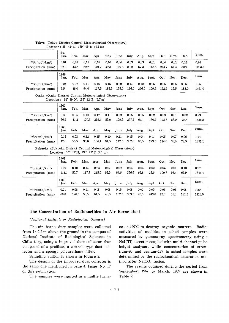|                                                               | 1967<br>Jan.                                                        | Feb.  | Mar.  | Apr.  | May   | June  | July  | Aug.  | Sept. | Oct.  | Nov. | Dec.  | Sum.   |
|---------------------------------------------------------------|---------------------------------------------------------------------|-------|-------|-------|-------|-------|-------|-------|-------|-------|------|-------|--------|
| $90$ Sr $(mCi/km^2)$                                          | 0.01                                                                | 0.09  | 0.18  | 0.18  | 0.10  | 0.04  | 0.03  | 0.03  | 0.01  | 0.04  | 0.01 | 0.02  | 0.74   |
| Precipitation (mm)                                            | 32.2                                                                | 43.8  | 69.7  | 104.7 | 49.3  | 109.3 | 89.2  | 67.3  | 148.8 | 214.7 | 61.4 | 32.9  | 1023.3 |
|                                                               | 1968<br>Jan.                                                        | Feb.  | Mar.  | Apr.  | May   | June  | July  | Aug.  | Sept. | Oct.  | Nov. | Dec.  | Sum.   |
| $90Sr$ (mCi/km <sup>2</sup> )                                 | 0.04                                                                | 0.02  | 0.11  | 0.16  | 0.15  | 0.29  | 0.14  | 0.10  | 0.06  | 0.06  | 0.06 | 0.06  | 1.25   |
| Precipitation (mm)                                            | 9.5                                                                 | 48.0  | 94.0  | 117.5 | 185.5 | 175.0 | 136.0 | 256.0 | 109.5 | 152.5 | 19,5 | 188.0 | 1491.0 |
| Osaka (Osaka District Central Meteorological Observatory)     | Location: $34^{\circ}$ 39' N, $135^{\circ}$ 32' E (6.7 m)           |       |       |       |       |       |       |       |       |       |      |       |        |
|                                                               | 1967<br>Jan.                                                        | Feb.  | Mar.  | Apr.  | May   | June  | July  | Aug.  | Sept. | Oct.  | Nov. | Dec.  | Sum.   |
| 90Sr(mCi/km <sup>2</sup> )                                    | 0.08                                                                | 0.06  | 0.10  | 0.17  | 0.11  | 0.09  | 0.05  | 0.05  | 0.02  | 0.03  | 0.01 | 0.02  | 0.79   |
| Precipitation (mm)                                            | 66.9                                                                | 41.2  | 170.3 | 259.4 | 59.0  | 109.9 | 297.7 | 64.1  | 130.2 | 128.7 | 83.0 | 25,4  | 1435.8 |
|                                                               | 1968<br>Jan.                                                        | Feb.  | Mar.  | Apr.  | May   | June  | July  | Aug.  | Sept. | Oct.  | Nov. | Dec.  | Sum.   |
| 90Sr(mCi/km <sup>2</sup> )                                    | 0.15                                                                | 0.03  | 0.12  | 0.15  | 0.10  | 0.21  | 0.15  | 0.04  | 0.11  | 0.05  | 0.07 | 0.06  | 1.24   |
| Precipitation (mm)                                            | 42,0                                                                | 55.5  | 96.0  | 104.1 | 94,5  | 112.5 | 302,0 | 95.5  | 223.5 | 114.0 | 33.0 | 78.5  | 1351.1 |
| Fukuoka (Fukuoka District Central Meteorological Observatory) | Location: $35^{\circ}$ 35' N, $130^{\circ}$ 23' E $(2.1 \text{ m})$ |       |       |       |       |       |       |       |       |       |      |       |        |
|                                                               | 1967<br>Jan.                                                        | Feb.  | Mar.  | Apr.  | May   | June  | July  | Aug.  | Sept. | Oct.  | Nov. | Dec.  | Sum.   |
| $^{90}Sr$ (mCi/km <sup>2</sup> )                              | 0.09                                                                | 0.10  | 0.14  | 0.23  | 0.07  | 0.09  | 0.04  | 0.04  | 0.02  | 0.04  | 0.01 | 0.10  | 0.97   |
| Precipitation (mm)                                            | 111.1                                                               | 50.7  | 117.7 | 215.0 | 59.3  | 67.6  | 366.6 | 69.8  | 23.6  | 100.7 | 93.4 | 69.9  | 1345.4 |
|                                                               | 1968<br>Jan.                                                        | Feb.  | Mar.  | Apr.  | May   | June  | July  | Aug.  | Sept. | Oct.  | Nov. | Dec.  | Sum.   |
| 90Sr(mCi/km <sup>2</sup> )                                    | 0.21                                                                | 0.08  | 0.11  | 0.18  | 0.08  | 0.15  | 0.08  | 0.02  | 0.09  | 0.06  | 0.06 | 0.08  | 1.20   |
| Precipitation (mm)                                            | 60.0                                                                | 126.5 | 56.5  | 64.5  | 46.5  | 162.5 | 303.5 | 95.5  | 243.0 | 72.0  | 51.0 | 131.5 | 1413.0 |

#### Tokyo (Tokyo District Central Meteorological Observatory) Location:  $35^{\circ}$  41'N,  $139^{\circ}$  46'E (4.1 m)

#### The Concentration of Radionuclides in Air Borne Dust

#### (National Institute of Radiological Sciences)

from  $1 \sim 1.5$  m above the ground in the campus of National Institute of Radiological Sciences in Chiba City, using a improved dust collector that composed of a prefilter, a cottrell type dust collector and a spongy polyurethane filter.

Sampling station is shown in Figure 2.

The design of the improved dust collector is the same one mentioned in page 4, Issue No. 17 of this publication.

The samples were ignited in a muffle furna-

The air borne dust samples were collected ce at  $450^{\circ}$ C to destroy organic matters. Radioactivities of nuclides in ashed samples were measured by gamma-ray spectrometry using a NaI(Tl) detector coupled with multi-channel pulse height analyzer, while concentration of strontium-90 and cesium-137 in ashed samples were determined by the radiochemical separation method after Na<sub>2</sub>CO<sub>3</sub> fusion.

> The results obtained during the period from September, 1967 to March, 1969 are shown in Table 2.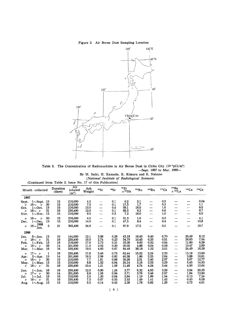#### Figure 2. Air Borne Dust Sampling Location



Table 2. The Concentration of Radionuclides in Air Borne Dust in Chiba City (10<sup>-3</sup>pCi/m<sup>3</sup>) -Sept. 1967 to Mar. 1969-

By M. Saiki, H. Kamada, K. Kimura and E. Nakano (National Institute of Radiological Sciences)

|                                    | Month collected                                                                               |                            | Duration<br>(days)         | Air<br>inhaled<br>$(m^3)$                           | Ash<br>Weight                        | ${}^{89}Sr$                           | 90Sr                                 | 95Zr<br>$+$ <sup>95</sup> Nb              | 103Ru                                   | <sup>106</sup> Ru                    | 137Cs                                | $140$ Ba<br>$+140$ La                                             | 141Ce                                     | 144Ce                                     |
|------------------------------------|-----------------------------------------------------------------------------------------------|----------------------------|----------------------------|-----------------------------------------------------|--------------------------------------|---------------------------------------|--------------------------------------|-------------------------------------------|-----------------------------------------|--------------------------------------|--------------------------------------|-------------------------------------------------------------------|-------------------------------------------|-------------------------------------------|
| 1967                               |                                                                                               |                            |                            |                                                     |                                      |                                       |                                      |                                           |                                         |                                      |                                      |                                                                   |                                           |                                           |
| Sept.<br>n<br>Oct.<br>n<br>Nov.    | $1\sim$ Sept.<br>$16-$<br>$\prime$<br>$1 - Oct.$<br>$16\sim$<br>$\overline{u}$<br>$1 - Nov.$  | 15<br>30<br>15<br>31<br>15 | 15<br>15<br>15<br>16<br>15 | 216,000<br>216,000<br>216,000<br>230,400<br>216,000 | 4,5<br>7.5<br>10.0<br>12.0<br>9.5    | —<br>$\overline{\phantom{0}}$<br>---- | 0,1<br>0.1<br>0.4<br>0.1<br>0.3      | 0.2<br>17.5<br>59.1<br>85.5<br>7.2        | 2.1<br>1.7<br>16.0<br>6.2<br>16.0       | $\overline{\phantom{0}}$<br>—<br>—   | 0.5<br>0.3<br>1,6<br>0.6<br>1.0      | ----                                                              | --                                        | 0.04<br>1.1<br>8.0<br>9.7<br>6.0          |
| n<br>Dec.<br>"                     | 16 $\sim$<br>$^{\prime\prime}$<br>$1 \sim$ Dec.<br>1968<br>$16-$<br>Jan.                      | 30<br>15<br>5              | 15<br>15<br>21             | 216,000<br>216,000<br>302,400                       | 4.5<br>14.0<br>24.0                  | $\overline{\phantom{0}}$<br>--        | 0.1<br>0.1<br>0.1                    | 31.3<br>47.5<br>97.9                      | 1.0<br>8,4<br>17.5                      | $\overline{\phantom{0}}$             | 0.3<br>0.4<br>0.5                    |                                                                   | —                                         | 4.1<br>10.8<br>19.7                       |
| 1968                               |                                                                                               |                            |                            |                                                     |                                      |                                       |                                      |                                           |                                         |                                      |                                      |                                                                   |                                           |                                           |
| Jan.<br>"<br>Feb.<br>"<br>Mar.     | $6\sim$ Jan.<br>16 $\sim$ 1<br>$1 \sim$ Feb.<br>$16 \sim \nu$<br>$1 -$ Mar.                   | 15<br>31<br>15<br>29<br>16 | 10<br>16<br>15<br>14<br>16 | 144,000<br>230,400<br>216,000<br>201,600<br>230,400 | 12.1<br>19,0<br>17.0<br>11.0<br>19.0 | 3.88<br>2.74<br>2.73<br>2.02<br>4.83  | 0.28<br>0.23<br>0.21<br>0.20<br>0.67 | 43.18<br>54.79<br>33.39<br>20.05<br>84.49 | 16.45<br>10.45<br>9.63<br>4.88<br>29.18 | 0.40<br>0.35<br>0.32<br>0.04<br>1,22 | 0.70<br>0.51<br>0.64<br>0.58<br>2.01 | $\overline{\phantom{a}}$                                          | 20.49<br>26.63<br>11.80<br>10,47<br>24,49 | 8.12<br>7.04<br>6.29<br>2.69<br>16.58     |
| $\prime$<br>Apr.<br>n<br>May.<br>" | $17 \sim \nu$<br>$2 \sim$ Apr.<br>16 $\sim v$<br>$1 - May.$<br>16 $\sim$<br>$^{\prime\prime}$ | 1<br>15<br>30<br>15<br>31  | 16<br>14<br>15<br>15<br>16 | 230,400<br>201,600<br>216,000<br>216,000<br>230,400 | 17.8<br>16,5<br>7.7<br>8,8<br>10.4   | 3.46<br>2.09<br>1.81<br>1.52<br>1.21  | 0.75<br>0.82<br>0.88<br>0.94<br>1.09 | 62.44<br>40.38<br>30.26<br>20.14<br>11.46 | 15.52<br>1.86<br>2.51<br>3.16<br>4.74   | 2.24<br>3.25<br>3.40<br>3.55<br>4.24 | 2.33<br>2.64<br>2.97<br>3.29<br>3.44 | ----<br>—<br>$\overline{\phantom{0}}$<br>$\overline{\phantom{0}}$ | 15.18<br>5,88<br>5.67<br>5.45<br>4.50     | 13.60<br>10,61<br>12.77<br>14.93<br>13.64 |
| Jun.<br>n<br>Jul.<br>n<br>Aug.     | $1 -$ Jun.<br>$17 \sim \nu$<br>$1$ ~Jul.<br>$16\sim v$<br>$1 - Aug.$                          | 16<br>30<br>15<br>31<br>15 | 16<br>14<br>15<br>16<br>15 | 230,400<br>201,600<br>216,000<br>230,400<br>216,000 | 12.0<br>8.8<br>5,5<br>7,5<br>9.5     | 0.90<br>1.05<br>1,20<br>0.67<br>0.14  | 1.24<br>0.94<br>0.64<br>0.55<br>0.45 | 2.77<br>2.71<br>2.64<br>2,52<br>2.39      | 6,32<br>3.76<br>1.19<br>1.49<br>1.78    | 4,93<br>3.46<br>1.99<br>1.41<br>0.82 | 3.59<br>2.57<br>1.54<br>1.42<br>1.29 | $\overline{\phantom{0}}$<br>---                                   | 3.54<br>1.84<br>0.13<br>0.43<br>0,72      | 20,35<br>13.80<br>7.24<br>6.08<br>4.91    |

(Continued from Table 2. Issue No. 17 of this Publication)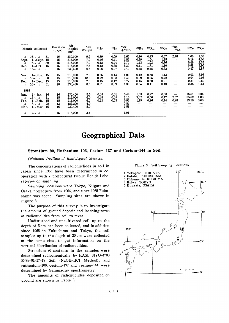|          | Month collected |    | Duration<br>(days) | Air<br>inhaled<br>$(m^3)$ | Ash<br>Weight | 89Sr                     | 90Sr | 95Zr<br>$+$ <sup>95</sup> Nb | <sup>103</sup> Ru | 106Ru | 137Cs | $140$ Ba<br>$+140$ La | 141Ce | 144Ce |
|----------|-----------------|----|--------------------|---------------------------|---------------|--------------------------|------|------------------------------|-------------------|-------|-------|-----------------------|-------|-------|
| $\prime$ | $16 \sim \nu$   | 31 | 16                 | 230,000                   | 9.5           | 0.89                     | 0.09 | 1.66                         | 0.90              | 0.45  | 0.37  | 2.78                  | 1.00  | 1.36  |
| Sept.    | $1 \sim$ Sept.  | 15 | 15                 | 216,000                   | 7.0           | 0.46                     | 0.41 | 1.56                         | 0.99              | 1.54  | 1.28  | —                     | 0.19  | 4.06  |
| n        | $16\sim \nu$    | 30 | 15                 | 216,000                   | 7.0           | 0.12                     | 0.24 | 7.70                         | 1.43              | 1.02  | 0.76  |                       | 0.48  | 2.65  |
| Oct.     | $1 \sim$ Oct.   | 15 | 15                 | 216,000                   | 7.5           | 0.12                     | 0.35 | 5.30                         | 0.41              | 1.71  | 1.10  |                       | 0.99  | 3.90  |
| IJ       | 16 $\sim v$     | 31 | 16                 | 230,400                   | 6,5           | 0.06                     | 0.27 | 2.40                         | 0.75              | 0.58  | 0.52  |                       | 0.47  | 1.87  |
| Nov.     | $1 \sim$ Nov.   | 15 | 15                 | 216,000                   | 7.0           | 0.56                     | 0.44 | 4.00                         | 0.12              | 0.58  | 1.13  |                       | 0.03  | 3.95  |
| n        | $16 \sim \nu$   | 30 | 15                 | 216.000                   | 18.0          | 0.72                     | 0.33 | 1.40                         | 0.99              | 0.25  | 0.72  |                       | 0.04  | 2.03  |
| Dec.     | $1 \sim$ Dec.   | 15 | 15                 | 216,000                   | 2.0           | 0.15                     | 0.12 | 0.77                         | 0.15              | 0.60  | 0.21  |                       | 0.31  | 0.60  |
| n        | 16 $\sim$ 1     | 31 | 16                 | 230,400                   | 8.5           | 0.01                     | 0.09 | 1.30                         | 0.64              | 0.11  | 0,40  |                       | 0.38  | 0.51  |
| 1969     |                 |    |                    |                           |               |                          |      |                              |                   |       |       |                       |       |       |
| Jan.     | $1 \sim$ Jan.   | 16 | 16                 | 230,400                   | 5.5           | 0.05                     | 0.01 | 0.43                         | 1.08              | 0.22  | 0.08  | —                     | 16.61 | 0.34  |
| $\prime$ | $17 \sim \nu$   | 31 | 15                 | 216,000                   | 6.0           | 0.45                     | 0.05 | 1.15                         | 3.02              | 0.50  | 0.17  | 2.57                  | 35,62 | 1.08  |
| Feb.     | $1 \sim$ Feb.   | 15 | 15                 | 216,000                   | 6.0           | 0.23                     | 0.03 | 0.96                         | 1.19              | 0.26  | 0.14  | 0.98                  | 13.59 | 0.66  |
| n        | 16 $\sim$ 1     | 28 | 13                 | 187,200                   | 4.0           |                          | —    | 0.84                         | ——                |       |       |                       |       |       |
| Mar.     | $1\sim$ Mar.    | 16 | 16                 | 230,400                   | 5,0           | $\overline{\phantom{0}}$ | –    | 1.56                         |                   |       |       |                       |       |       |
| n.       | $17 \sim \nu$   | 31 | 15                 | 216,000                   | 3.4           |                          |      | 1.01                         |                   |       |       |                       |       |       |

## Geographical Data

#### Strontium-90, Ruthenium-106, Cesium-137 and Cerium-144 in Soil

#### (National Institute of Radiological Sciences)

The concentrations of radionuclides in soil in Japan since 1963 have been determined in cooperation with 7 prefectural Public Health Laboratories on sampling.

Sampling locations were Tokyo, Niigata and Osaka prefecturs from 1964, and since 1965 Fukushima was added. Sampling sites are shown in Figure 3.

The purpose of this survey is to investigate the amount of ground deposit and leaching rates of radionuclides from soil to river.

Undisturbed and uncultivated soil up to the depth of 5 cm has been collected, and in addition since 1968 in Fukushima and Tokyo, the soil samples up to the depth of 20 cm were collected at the same sites to get information on the vertical distribution of radionuclides.

Strontium-90 contents in the samples were determined radiochemically by HASL NYO-4700 E-Sr-01-17-19 Soil (NaOH-HCl Method), and ruthenium-106, cesium-137 and cerium-144 were determined by Gamma-ray spectrometry.

The amounts of radionuclides deposited on ground are shown in Table 3.



Figure 3. Soil Sampling Locations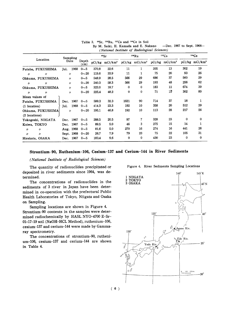|                    | Sampling      |               |        | 90Sr                |          | <sup>106</sup> Ru            |        | 137Cs               | 144Ce    |                     |
|--------------------|---------------|---------------|--------|---------------------|----------|------------------------------|--------|---------------------|----------|---------------------|
| Location           | Date          | Depth<br>(cm) | pCi/kg | mCi/km <sup>2</sup> |          | $pCi/kg$ mCi/km <sup>2</sup> | pCi/kg | mCi/km <sup>2</sup> | pCi/kg   | mCi/km <sup>2</sup> |
| Futaba, FUKUSHIMA  | 1968<br>Jul.  | $0 - 5$       | 370.8  | 22.6                | 11       |                              | 205    | 13                  | 302      | 19                  |
| "<br>II            | n             | $0 - 20$      | 119.6  | 33,9                | 11       |                              | 75     | 20                  | 93       | 26                  |
| Ohkuma, FUKUSHIMA  | $\prime$      | $0 - 5$       | 548.9  | 28.5                | 566      | 29                           | 686    | 37                  | 560      | 29                  |
| "<br>$\prime$      | $\prime$      | $0 - 20$      | 240.3  | 58.3                | 566      | 29                           | 193    | 48                  | 256      | 62                  |
| Ohkuma, FUKUSHIMA  | $\prime$      | $0\sim5$      | 323.0  | 18.7                | 0        | $\bf{0}$                     | 183    | 11                  | 674      | 39                  |
| IJ<br>"            | $\prime$      | $0 - 20$      | 225.4  | 48.2                | 0        | 0                            | 71     | 15                  | 302      | 80                  |
| Mean values of     |               |               |        |                     |          |                              |        |                     |          |                     |
| Futaba, FUKUSHIMA  | 1967<br>Dec.  | $0 - 5$       | 599.3  | 32.3                | 1621     | 90                           | 714    | 37                  | 18       |                     |
| $(1$ location)     | 1968<br>Jul.  | $0\sim5$      | 414.3  | 23.3                | 192      | 10                           | 358    | 20                  | 512      | 29                  |
| Ohkuma, FUKUSHIMA  | $\prime$      | $0 - 20$      | 195.1  | 46.8                | 192      | 10                           | 113    | 28                  | 217      | 56                  |
| (2 locations)      |               |               |        |                     |          |                              |        |                     |          |                     |
| Yokogoshi, NIIGATA | 1967<br>Dec.  | $0\sim5$      | 288.5  | 20.5                | 97       | 7                            | 328    | 23                  | $\bf{0}$ | $\Omega$            |
| Koiwa, TOKYO       | 1967<br>Dec.  | $0 - 5$       | 89.5   | 5.0                 | 46       | 3                            | 275    | 15                  | 14       |                     |
| "<br>IJ            | Aug. 1968     | $0 - 5$       | 81.6   | 5.0                 | 270      | 16                           | 274    | 16                  | 441      | 26                  |
| "<br>v             | 1968<br>Sept. | $0 - 20$      | 26.7   | 7.9                 | 79       | 23                           | 75     | 22                  | 105      | 31                  |
| Hirakata, OSAKA    | 1967<br>Dec.  | $0\sim5$      | 183.4  | 9.6                 | $\bf{0}$ | 0                            | 430    | 23                  | $\bf{0}$ | $\bf{0}$            |

Table 3. <sup>90</sup>Sr, <sup>106</sup>Ru, <sup>137</sup>Cs and <sup>144</sup>Ce in Soil By M. Saiki, H. Kamada and E. Nakano -Dec. 1967 to Sept. 1968-(National Institute of Radiological Sciences)

#### Strontium-90, Ruthenium-106, Cesium-137 and Cerium-144 in River Sediments

(National Institute of Radiological Sciences)

The quantity of radionuclides precipitated or deposited in river sediments since 1964, was determined.

The concentrations of radionuclides in the sediments of 3 river in Japan have been determined in co-operation with the prefectural Public Health Laboratories of Tokyo, Niigata and Osaka on Sampling.

Sampling locations are shown in Figure 4. Strontium-90 contents in the samples were determined radiochemically by HASL NYO-4700 E-Sr-01-17-19 soil (NaOH-HCL Method), ruthenium-106, cesium-137 and cerium-144 were made by Gammaray spectrometry.

The concentrations of strontium-90, ruthenium-106, cesium-137 and cerium-144 are shown in Table 4.



Figure 4. River Sediments Sampling Locations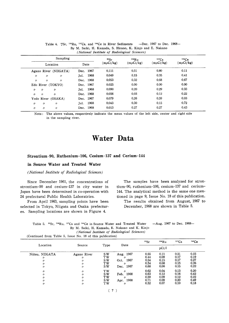| Sampling                                           |              | 90 <sub>ST</sub> | $106R_{11}$    | $137C_S$       | 144Ce          |
|----------------------------------------------------|--------------|------------------|----------------|----------------|----------------|
| Location                                           | Date         | $(m\mu Ci/kg)$   | $(m\mu Ci/kg)$ | $(m\mu Ci/kg)$ | $(m\mu Ci/kg)$ |
| Agano River (NIIGATA)                              | Dec. 1967    | 0.111            | 0.51           | 0.80           | 0.11           |
| $^{\prime\prime}$<br>$\prime$<br>$\prime$          | 1968<br>Jul. | 0.049            | 0.15           | 0.35           | 0.41           |
| $^{\prime\prime}$<br>$\prime$<br>$^{\prime\prime}$ | Dec. 1968    | 0.053            | 0.32           | 0.68           | 0.67           |
| Edo River (TOKYO)                                  | Dec. 1967    | 0.025            | 0.00           | 0.00           | 0.00           |
| IJ<br>n<br>$\prime$                                | 1968<br>Jul. | 0.090            | 0.20           | 0.29           | 0.33           |
| $\prime$<br>$\prime$<br>$^{\prime\prime}$          | Dec. 1968    | 0.056            | 0.03           | 0.12           | 0.22           |
| Yodo River (OSAKA)                                 | 1967<br>Dec. | 0.079            | 0.26           | 0.59           | 0.03           |
| $\prime$<br>V.<br>$^{\prime\prime}$                | 1968<br>Jul. | 0.043            | 0.30           | 0.15           | 0.72           |
| $^{\prime\prime}$<br>$^{\prime\prime}$<br>n        | 1968<br>Dec. | 0.013            | 0.27           | 0.27           | 0.43           |

|  | —Dec. 1967 to Dec. 1968—<br>Table 4. $\frac{90}{5}$ . $\frac{106}{10}$ Ru, $\frac{137}{5}$ Cs, and $\frac{144}{5}$ Ce in River Sediments |  |
|--|------------------------------------------------------------------------------------------------------------------------------------------|--|
|  | By M. Saiki, H. Kamada, S. Hirano, K. Kinjo and E. Nakano                                                                                |  |
|  | (National Institute of Radiological Sciences)                                                                                            |  |

Note: The above values, respectively indicate the mean values of the left side, center and right side in the sampling river.

### **Water Data**

#### Strontium-90, Ruthenium-106, Cesium-137 and Cerium-144

#### in Source Water and Treated Water

#### (National Institute of Radiological Sciences)

Since December 1961, the concentrations of strontium-90 and cesium-137 in city water in Japan have been determined in co-operation with 24 prefectural Public Health Laboratries.

From April 1963, sampling points have been selected in Tokyo, Niigata and Osaka prefectures. Sampling locations are shown in Figure 4.

The samples have been analyzed for strontium-90, ruthenium-106, cesium-137 and cerium-144. The analytical method is the same one mentioned in page 9, Issue No. 18 of this publication. The results obtained from August, 1967 to December, 1968 are shown in Table 5.

-Aug. 1967 to Dec. 1968-Table 5. <sup>90</sup>Sr, <sup>106</sup>Ru, <sup>137</sup>Cs and <sup>144</sup>Ce in Source Water and Treated Water By M. Saiki, H. Kamada, E. Nakano and K. Kinjo (National Institute of Radiological Sciences)

(Continued from Table 5, Issue No. 18 of this publication)

|                 |                   |           |                   | 90Sr  | 106Ru | 137Cs | 144Ce |  |
|-----------------|-------------------|-----------|-------------------|-------|-------|-------|-------|--|
| Location        | Source            | Type      | Date              | pCi/l |       |       |       |  |
| Niitsu, NIIGATA | Agano River       | <b>SW</b> | Aug. 1967         | 0.55  | 0.11  | 0.21  | 0.23  |  |
| IJ              | $^{\prime\prime}$ | TW        | $^{\prime\prime}$ | 0.44  | 0.09  | 0.17  | 0.19  |  |
| IJ              | 11                | S W       | 1967<br>Oct.      | 0.54  | 0.15  | 0.17  | 0.27  |  |
| "               | 11                | <b>TW</b> | IJ                | 0.54  | 0.08  | 0.15  | 0.26  |  |
| $\prime$        | $^{\prime\prime}$ | SW        | 1967<br>Dec.      | 0.68  | 0.06  | 0.15  | 0.22  |  |
| $\prime$        | "                 | <b>TW</b> | $^{\prime\prime}$ | 0.62  | 0.04  | 0.13  | 0.20  |  |
| n               | "                 | S W       | - 1968<br>Feb.    | 0.63  | 0.12  | 0.16  | 0.42  |  |
| IJ              | "                 | тw        |                   | 0.59  | 0.09  | 0.12  | 0.22  |  |
| "               | $^{\prime\prime}$ | S W       | 1968<br>Apr.      | 0.71  | 0.09  | 0.20  | 0.49  |  |
| n               | 11                | тw        | "                 | 0.52  | 0.07  | 0.10  | 0.18  |  |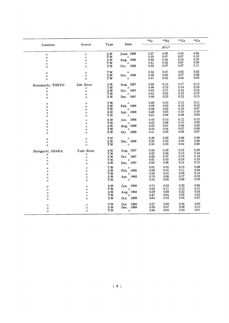|                               |                   |                                     |                   | 90Sr | $^{106}\mathrm{Ru}$ | 137C <sub>S</sub> | 144Ce            |
|-------------------------------|-------------------|-------------------------------------|-------------------|------|---------------------|-------------------|------------------|
| Location                      | Source            | Type                                | Date              |      | pCi/l               |                   |                  |
| $\prime$                      | $\prime\prime$    | SW                                  | June. 1968        | 0.57 | 0.09                | 0.20              | 0.64             |
| $\prime$                      | $\prime$          | TW                                  | $\prime\prime$    | 0.55 | 0.07                | 0.07              | 0.10             |
| n                             | 11                | $S\bar{W}$                          | Aug. 1968         | 0.64 | 0.04                | 0.10              | 0.33             |
| $\prime\prime$                | $^{\prime\prime}$ | <b>TW</b>                           |                   | 0.61 | 0.02                | 0.07              | 0.09             |
| 11                            | n                 | <b>SW</b>                           | Oct. $^{''}$ 1968 | 0.55 | 0.07                | 0.07              | 0.11             |
| $^{\prime\prime}$             | $^{\prime\prime}$ | TW                                  | $^{\prime\prime}$ | 0.54 | 0.07                | 0.05              | 0.03             |
| $^{\prime\prime}$             | $\prime$          | $\mathbf S$ W                       | Dec. 1968         | 0.49 | $0.03\,$            | 0.07              | 0.08             |
| n                             | n                 | TW                                  | $\prime$          | 0.47 | 0.02                | 0.04              | 0.03             |
| Kanamachi, TOKYO              | Edo River         | $S_{W}$                             | Aug. 1967         | 0.50 | 0.12                | 0.17              | 0.15             |
| 11                            | 11                | $\mathbf{TW}$                       | IJ                | 0.46 | 0.10                | 0.14              | 0.10             |
| $\prime\prime$                | $\prime$          | $\mathbf S$ W                       | Oct. 1967         | 0.43 | 0.17                | 0.14              | 0.12             |
| $^{\prime\prime}$             | $^{\prime\prime}$ | <b>TW</b>                           | $^{\prime\prime}$ | 0.41 | 0.05                | 0.13              | 0.10             |
| $\prime$                      | $^{\prime\prime}$ | S W                                 | Dec. 1967         | 0.46 | 0.33                | 0,12              | 0.13             |
| $\prime$                      | $\prime$          | TW                                  | IJ                | 0.46 | 0.10                | 0.12              | 0.11             |
| "                             | $\prime$          | SW                                  | Feb. 1968         | 0.59 | 0.05                | 0.12              | 0.10             |
| IJ                            | 11                | <b>TW</b>                           | $^{\prime\prime}$ | 0.48 | 0.03                | 0.10              | 0.07             |
| "                             | $^{\prime\prime}$ | SW                                  | Apr. 1968         | 0.48 | 0.05                | 0.10              | 0.10             |
| $^{\prime\prime}$             | "                 | $\rm{TW}$                           | $\prime\prime$    | 0.21 | $0.04\,$            | 0.08              | 0.00             |
| $\prime$                      | $\prime$          | SW                                  | Jun. 1968         | 0.45 | 0.10                | 0.12              | 0.12             |
| $\prime$                      | 11                | TW                                  | $^{\prime\prime}$ | 0.43 | 0.06                | 0.10              | 0.03             |
| $^{\prime\prime}$             | $\prime$          | $\overline{\mathbf{S}}\mathbf{W}$   | Aug. 1968         | 0.45 | $0.07\,$            | 0.08              | 0.49             |
| $^{\prime\prime}$             | $\prime$          | $\rm{TW}$                           | $^{\prime\prime}$ | 0.42 | 0.04                | 0.07              | 0.00             |
| 11                            | $\prime$          | $\mathbf S$ W                       | Oct. 1968         | 0.41 | 0.05                | 0.06              | $0.07\,$         |
| 11                            | $\prime$          | <b>TW</b>                           | n                 | 0.39 | 0.05                | 0.06              | 0.06             |
| $\prime$                      | $\prime$          | $\mathbf S$ W                       | Dec. 1968         | 0.33 | 0.03                | 0.05              | 0.00             |
| $^{\prime\prime}$             | ı,                | TW                                  | $^{\prime\prime}$ | 0.33 | 0.03                | 0.04              | 0.00             |
| Moriguchi, OSAKA              | Yodo River        | <b>SW</b>                           | Aug. 1967         | 0.64 | 0.05                | 0.15              | 0.29             |
| "                             | $\prime$          | TW                                  | $\prime\prime$    | 0.63 | 0.04                | 0.15              | 0.14             |
| $\prime$                      | $\prime$          | $\overline{\mathbf{s}}\,\mathbf{w}$ | Oct. 1967         | 0.64 | $0.07\,$            | 0.19              | 0.14             |
| "                             | $\prime$          | <b>TW</b>                           | $\prime$          | 0.61 | 0.03                | 0.16              | 0.10             |
| $\prime$                      | 11                | SW <sub></sub>                      | Dec. 1967         | 0.64 | 0.06                | 0.14              | 0.13             |
| 11                            | $^{\prime\prime}$ | $\rm{TW}$                           | $\prime$          | 0.61 | 0.02                | 0.13              | 0.08             |
| 〃                             | $\prime$          | $S_{W}$                             | Feb. 1968         | 0.68 | 0.04                | 0.11              | 0.24             |
| $\prime\prime$                | $^{\prime\prime}$ | TW                                  | $\prime$          | 0.58 | 0.03                | 0.09              | 0.14             |
| $^{\prime\prime}$             | $\prime$          | $\overline{\mathbf{S}}\,\mathbf{W}$ | Apr. 1968         | 0.70 | $\rm 0.08$          | 0.17              | 0.31             |
| $\prime$                      | $^{\prime\prime}$ | $\mathbf{TW}$                       | $\prime$          | 0.53 | 0.06                | 0.08              | 0.03             |
| $\prime$                      | $\prime\prime$    | $\mathbf S$ W                       | Jun. 1968         | 0.74 | 0.22                | 0.20              | 0.84             |
| $^{\prime\prime}$             | $\prime$          | <b>TW</b>                           | $^{\prime\prime}$ | 0.66 | 0.11                | 0.13              | 0.11             |
| $\prime\prime$                | $^{\prime\prime}$ | $S\bar{W}$                          | Aug. 1968         | 0.59 | 0.08                | 0.22              | 0.24             |
| $\prime\prime$                | $^{\prime\prime}$ | TW                                  | $\prime$          | 0.47 | 0.04                | 0.05              | 0.23             |
| 11                            | $\prime$          | $S\bar{W}$                          | 1968<br>Oct.      | 0.64 | 0.23                | 0.04              | 0.07             |
|                               | $^{\prime\prime}$ | $\rm{TW}$                           | Oct. 1968         | 0.57 | 0.00                | 0.04              | 0.00             |
|                               |                   |                                     |                   |      |                     |                   |                  |
| $^{\prime\prime}$<br>$\prime$ | $^{\prime\prime}$ | $\mathbf S$ W                       | Dec. 1968         | 0.50 | 0.07                | 0.06<br>0.03      | 0.12<br>$0.01\,$ |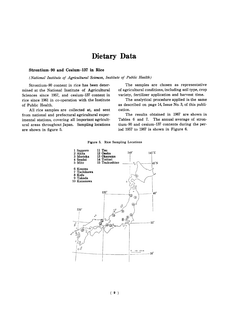## Dietary Data

#### Strontium-90 and Cesium-137 in Rice

(National Institute of Agricultural Sciences, Institute of Public Health)

Strontium-90 content in rice has been determined at the National Institute of Agricultural Sciences since 1957, and cesium-137 content in rice since 1961 in co-operation with the Institute of Public Health.

All rice samples are collected at, and sent from national and prefectural agricultural experimental stations, covering all important agricultural areas throughout Japan. Sampling locations are shown in figure 5.

The samples are chosen as representative of agricultural conditions, including soil type, crop variety, fertilizer application and harvest time.

The analytical procedure applied is the same as described on page 14, Issue No. 3, of this publication.

The results obtained in 1967 are shown in Tables 6 and 7. The annual average of strontium-90 and cesium-137 contents during the period 1957 to 1967 is shown in Figure 6.

Figure 5. Rice Sampling Locations

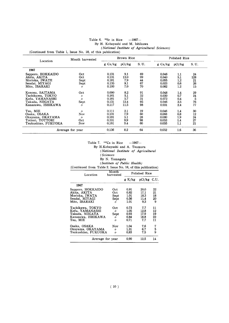#### Table 6. 90Sr in Rice  $-1967-$ By H. Kobayashi and M. Ishikawa

(National Institute of Agricultural Sciences)

(Continued from Table 1, Issue No. 18, of this publication)

| Location            | Month harvested   |           | Brown Rice |       |         | Polished Rice    |       |  |  |
|---------------------|-------------------|-----------|------------|-------|---------|------------------|-------|--|--|
|                     |                   | $g$ Ca/kg | pCi/kg     | S. U. | g Ca/kg | pCi/kg           | S. U. |  |  |
| 1967                |                   |           |            |       |         |                  |       |  |  |
| Sapporo, HOKKAIDO   | Oct               | 0.131     | 9.1        | 69    | 0.046   | 1.1              | 24    |  |  |
| Akita. AKITA        | Oct               | 0.131     | 13.0       | 99    | 0.040   | 5.1              | 128   |  |  |
| Morioka, IWATE      | Sept              | 0.181     | 7.9        | 44    | 0.055   | 1.2              | 21    |  |  |
| Sendai, MIYAGI      | Sept              | 0.135     | 9,1        | 67    | 0.023   | 0.6              | 26    |  |  |
| Mito, IBARAKI       | $^{\prime\prime}$ | 0.100     | 7.0        | 70    | 0.082   | 1.2              | 15    |  |  |
| Konosu, SAITAMA     | Oct               | 0.090     | 8.2        | 91    | 0.048   | 1.4              | 29    |  |  |
| Tachikawa, TOKYO    | "                 | 0.161     | 5.1        | 32    | 0.030   | 0.7              | 24    |  |  |
| Kofu, YAMANASHI     | "                 | 0.181     | 5.7        | 31    | 0.072   | 0.4              | 5     |  |  |
| Takada, NIIGATA     | Sept              | 0.131     | 12.4       | 95    | 0.046   | 3.5              | 76    |  |  |
| Kanazawa, ISHIKAWA  | "                 | 0.117     | 11.5       | 98    | 0.031   | 2.4              | 77    |  |  |
| Tsu, MIE            | $^{\prime\prime}$ | 0.111     | 2.1        | 19    | 0.046   | $1.4\phantom{0}$ | 30    |  |  |
| Osaka, OSAKA        | Nov               | 0.131     | 7.9        | 60    | 0.068   | 0.8              | 12    |  |  |
| Okayama, OKAYAMA    | $^{\prime\prime}$ | 0.181     | 5.1        | 28    | 0.080   | 1.9              | 24    |  |  |
| Tottori, TOTTORI    | Oct.              | 0.101     | 9.9        | 98    | 0.053   | 1.4              | 27    |  |  |
| Tsukushino, FUKUOKA | Nov               | 0.161     | 9.4        | 60    | 0.055   | 1.1              | 21    |  |  |
| Average for year    |                   | 0.136     | 8.2        | 64    | 0.052   | 1.6              | 36    |  |  |

 $-1967-$ Table 7. <sup>137</sup>Cs in Rice By H.Kobayashi and A. Tsumura (National Institute of Agricultural (Sciences By N. Yamagata

#### (Institute of Public Health) (Continued from Table 2. Issue No. 18, of this publication)

| Location            | Month<br>harvested | Polished Rice |               |             |  |  |  |
|---------------------|--------------------|---------------|---------------|-------------|--|--|--|
|                     |                    | g K/kg        | $pCi/kg$ C.U. |             |  |  |  |
| 1967                |                    |               |               |             |  |  |  |
| Sapporo, HOKKAIDO   | Oct                | 0.91          | 20.0          | 22          |  |  |  |
| Akita, AKITA        | Oct                | 0.82          | 17.1          | 21          |  |  |  |
| Morioka, IWATA      | Sept               | 1.01          | 18.3          | 18          |  |  |  |
| Sendai, MIYAGI      | Sept               | 0.56          | 11.4          | 20          |  |  |  |
| Mito, IBARAKI       | $^{\prime\prime}$  | 1.01          | 9.3           | 9           |  |  |  |
| Tachikawa, TOKYO    | Oct                | 0.73          | 7,7           | 11          |  |  |  |
| Kofu, YAMANASHI     | "                  | 1.05          | 12.8          | 12          |  |  |  |
| Takada, NIIGATA     | Sept               | 0.93          | 17.9          | 19          |  |  |  |
| Kanazawa. ISHIKAWA  | 11                 | 0.84          | 18.8          | 22          |  |  |  |
| Tsu, MIE            | 11                 | 0.71          | 7.7           | 11          |  |  |  |
| Osaka, OSAKA        | Nov                | 1.04          | 7.6           |             |  |  |  |
| Okavama, OKAYAMA    | 11                 | 1.31          | 6.7           | 7<br>5<br>9 |  |  |  |
| Tsukushino, FUKUOKA | 11                 | 0.83          | 7.5           |             |  |  |  |
| Arerage for year    |                    | 0.90          | 12.5          | 14          |  |  |  |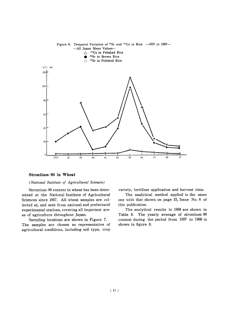

#### Strontium-90 in Wheat

#### (National Institute of Agricultural Sciences)

Strontium-90 content in wheat has been determined at the National Institute of Agricultural Sciences since 1957. All wheat samples are collected at, and sent from national and prefectural experimental stations, covering all important areas of agriculture throughout Japan.

Sampling locations are shown in Figure 7. The samples are chosen as representative of agricultural conditions, including soil type, crop variety, fertilizer application and harvest time.

The analytical method applied is the same one with that shown on page 15, Issue No. 6 of this publication.

The analytical results in 1968 are shown in Table 8. The yearly average of strontium-90 content during the period from 1957 to 1968 is shown in figure 8.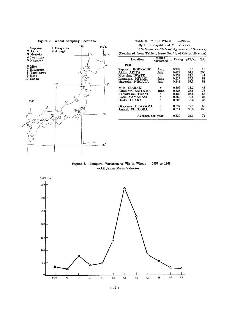#### Figure 7. Wheat Sampling Locations



|                                                             | (National Institute of Agricultural Sciences) |                  |      |            |
|-------------------------------------------------------------|-----------------------------------------------|------------------|------|------------|
| (Continued from Table 3, Issue No. 18, of this publication) |                                               |                  |      |            |
| Location                                                    | Month<br>harvested                            | $g$ Ca/kg pCi/kg |      | S.U.       |
| 1968                                                        |                                               |                  |      |            |
| Sapporo, HOKKAIDO                                           | Aug                                           | 0.382            | 5.6  | 15         |
| Akita. AKITA                                                | July                                          | 0.422            | 84.2 | <b>200</b> |
| Morioka. IWATE                                              | $\prime$                                      | 0.552            | 24.3 | 44         |
| Iwanuma, MIYAGI                                             | June                                          | 0.217            | 17.7 | 82         |
| Nagaoka, NIIGATA                                            | July                                          | 0.241            | 19.7 | 82         |
| Mito, IBARAKI                                               | n                                             | 0.307            | 13.2 | 43         |
| Kitamoto, SAITAMA                                           | June                                          | 0.325            | 28.6 | 75         |
| Tachikawa, TOKYO                                            | "                                             | 0.422            | 26.5 | 63         |
| Kofu. YAMANASHI                                             | $\prime$                                      | 0.362            | 9.6  | 27         |
| Osaka. OSAKA                                                | "                                             | 0.225            | 8.2  | 36         |
| Okayama, OKAYAMA                                            | n                                             | 0.297            | 17.9 | 60         |
| Amagi, FUKUOKA                                              | n                                             | 0.211            | 33.6 | 159        |
| Average for year                                            |                                               | 0.330            | 24.1 | 74         |

Figure 8. Temporal Variation of  $^{90}Sr$  in Wheat  $-1957$  to 1968--All Japan Mean Values-





#### Table 8. <sup>90</sup>Sr in Wheat  $-1968-$ By H. Kobayshi and M. Ishikawa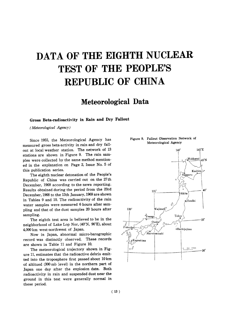# DATA OF THE EIGHTH NUCLEAR TEST OF THE PEOPLE'S **REPUBLIC OF CHINA**

# Meteorological Data

#### Gross Beta-radioactivity in Rain and Dry Fallout

(Meteorological Agency)

Since 1955, the Meteorological Agency has measured gross beta-activity in rain and dry fallout at local weather station. The network of 13 stations are shown in Figure 9. The rain samples were collected by the same method mentioned in the explanation on Page 2, Issue No. 5 of this publication series.

The eighth nuclear detonation of the People's Republic of China was carried out on the 27th December, 1968 according to the news reporting. Results obtained during the period from the 23rd December, 1968 to the 13th January, 1969 are shown in Tables 9 and 10. The radioactivity of the rain water samples were measured 6 hours after sampling and that of the dust samples 20 hours after sampling.

The eighth test area is believed to be in the neighborhood of Lake Lop Nor, (40°N, 90°E), about 4.000 km west-northwest of Japan.

Now in Japan, abnormal micro-barographic record was distinctly observed. These records are shown in Table 11 and Figure 10.

The meteorological trajectory shown in Figure 11, estimates that the radioactive debris emitted into the troposphere first passed about 10 km of altitued (300 mb level) in the northern part of Japan one day after the explosion date. Both radioactivity in rain and suspended dust near the ground in this test were generally normal in these period.



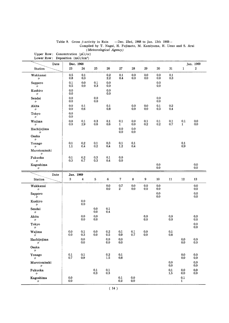| Date                                                                                                                    | Dec. 1968                                 |                             |                                           |                                           |                                           |                                           |                  |                                           |                                           |                           | Jan. 1969                                                                                                    |
|-------------------------------------------------------------------------------------------------------------------------|-------------------------------------------|-----------------------------|-------------------------------------------|-------------------------------------------|-------------------------------------------|-------------------------------------------|------------------|-------------------------------------------|-------------------------------------------|---------------------------|--------------------------------------------------------------------------------------------------------------|
| Station                                                                                                                 | $23\,$                                    | 24                          | $25\,$                                    | ${\bf 26}$                                | ${\bf 27}$                                | ${\bf 28}$                                | $29\,$           | 30                                        | 31                                        | $\mathbf 1$               | $\overline{2}$                                                                                               |
| Wakkanai                                                                                                                | 0.5<br>0.8                                | 0.1<br>0.3                  |                                           | $0.2\,$<br>$2.2\,$                        | 0.1<br>0.4                                | 0.0<br>0.0                                | 0.0<br>0.0       | 0.0<br>0.0                                | $0.1\,$<br>0.3                            |                           |                                                                                                              |
| $^{\prime\prime}$<br>Sapporo                                                                                            | 0.1                                       | 0.0                         | 0.1                                       | 0.0                                       |                                           |                                           |                  | 0.0                                       |                                           |                           |                                                                                                              |
| ŋ.                                                                                                                      | 0.5<br>$0.0\,$                            | $0.0\,$                     | $0.3\,$                                   | 0.0<br>0.0                                |                                           |                                           |                  | 0.0                                       |                                           |                           |                                                                                                              |
| Kushiro<br>$^{\prime\prime}$                                                                                            | 0.0                                       |                             |                                           | 0.0                                       |                                           |                                           |                  |                                           |                                           |                           |                                                                                                              |
| Sendai<br>$\prime\prime$                                                                                                | 0.0<br>0.0                                |                             | $0.0\,$<br>0.0                            |                                           |                                           |                                           |                  | 0.0<br>$0.0\,$                            |                                           |                           |                                                                                                              |
| Akita                                                                                                                   | 0.0<br>$0.0\,$                            | 0.1<br>0,6                  |                                           | 0.1<br>0.8                                |                                           | 0.0<br>$0.0\,$                            | 0.0<br>0.0       | 0.1<br>$0.3\,$                            | $0.2\,$<br>0.4                            |                           |                                                                                                              |
| $^{\prime\prime}$<br>Tokyo<br>$\prime\prime$                                                                            | 0.0<br>0.0                                |                             |                                           |                                           |                                           |                                           |                  |                                           |                                           |                           |                                                                                                              |
| Wajima<br>n                                                                                                             | 0.0<br>0.0                                | 0.1<br>2,9                  | 0.3<br>0.6                                | 0.1<br>0.6                                | 0.1<br>$\mathbf{1}$                       | 0.0<br>0.0                                | 0.1<br>0.2       | $\begin{array}{c} 0.1 \\ 0.2 \end{array}$ | 0.1<br>0.7                                | 0.1<br>$\mathbf{1}$       | $0.0\,$<br>0.0                                                                                               |
| Hachijojima                                                                                                             |                                           |                             |                                           |                                           | 0.0                                       | 0.0                                       |                  |                                           |                                           |                           |                                                                                                              |
| n<br>Osaka                                                                                                              |                                           |                             |                                           |                                           | 0.0                                       | 0,0                                       |                  |                                           |                                           |                           |                                                                                                              |
| $\prime\prime$<br>Yonago                                                                                                | 0.1                                       | $\rm 0.2$                   | 0.1                                       | 0.3                                       | 0.1                                       | 0.1                                       |                  |                                           |                                           | 0.1                       |                                                                                                              |
| $^{\prime\prime}$                                                                                                       | 1.1                                       | $0.4\,$                     | $0.2\,$                                   | 0.4                                       | $1.2\,$                                   | 0.4                                       |                  |                                           |                                           | 0.9                       |                                                                                                              |
| Murotomisaki<br>$\prime\prime$                                                                                          |                                           |                             |                                           |                                           |                                           |                                           |                  |                                           |                                           |                           |                                                                                                              |
| Fukuoka<br>$^{\prime\prime}$                                                                                            | 0.1<br>0.3                                | $\mathbf{0.2}$<br>0.7       | $0.3\,$<br>0.3                            | 0.1<br>0.4                                | 0.0<br>0.0                                |                                           |                  |                                           |                                           |                           |                                                                                                              |
| Kagoshima                                                                                                               |                                           |                             |                                           |                                           |                                           |                                           |                  | 0.0<br>0.0                                |                                           |                           | 0.0<br>0.0                                                                                                   |
| $^{\prime\prime}$                                                                                                       |                                           |                             |                                           |                                           |                                           |                                           |                  |                                           |                                           |                           |                                                                                                              |
| Date<br>Station                                                                                                         | Jan. 1969<br>$\boldsymbol{3}$             | $\overline{\mathbf{4}}$     | 5                                         | $\bf 6$                                   | $\pmb{7}$                                 | $\bf8$                                    | $\boldsymbol{9}$ | ${\bf 10}$                                | $11\,$                                    | $12\,$                    | 13                                                                                                           |
| Wakkanai                                                                                                                |                                           |                             |                                           | $0.0\,$                                   | $0.7\,$                                   | 0.0                                       | $0.0\,$          | 0.0                                       |                                           |                           | 0.0                                                                                                          |
| V)                                                                                                                      |                                           |                             |                                           | 0.0                                       | $\mathbf{2}$                              | $0.0\,$                                   | $0.0\,$          | $0.0\,$                                   |                                           |                           | 0.0                                                                                                          |
| Sapporo<br>$^{\prime\prime}$                                                                                            |                                           |                             |                                           |                                           |                                           |                                           |                  | $0.0\,$<br>$0.0\,$                        |                                           |                           | $0.0\,$<br>0.0                                                                                               |
| Kushiro                                                                                                                 |                                           | $0.0\,$<br>$0.0\,$          |                                           |                                           |                                           |                                           |                  |                                           |                                           |                           |                                                                                                              |
| $\prime\prime$<br>Sendai                                                                                                |                                           |                             | $0.0\,$                                   | 0.1                                       |                                           |                                           |                  |                                           |                                           |                           |                                                                                                              |
| $\prime\prime$                                                                                                          |                                           |                             | 0.0                                       | 0.4                                       |                                           |                                           |                  |                                           |                                           |                           |                                                                                                              |
|                                                                                                                         |                                           |                             |                                           |                                           |                                           |                                           |                  |                                           |                                           |                           |                                                                                                              |
| n                                                                                                                       |                                           | $0.0\,$<br>0.0              | $0.0\,$<br>0.0                            |                                           |                                           |                                           | $0.0\,$<br>0.0   |                                           | $0.0\,$<br>0.0                            |                           |                                                                                                              |
| $\boldsymbol{\eta}$                                                                                                     |                                           |                             |                                           |                                           |                                           |                                           |                  |                                           |                                           |                           |                                                                                                              |
|                                                                                                                         |                                           | $0.1\,$                     |                                           | $\rm 0.2$                                 | $0.1\,$                                   |                                           | $0.0\,$          |                                           |                                           |                           |                                                                                                              |
| $^{\prime\prime}$                                                                                                       | $\begin{array}{c} 0.0 \\ 0.0 \end{array}$ | $0.\overline{3}$<br>$0.0\,$ | $\begin{array}{c} 0.0 \\ 0.0 \end{array}$ | 0.5<br>$0.0\,$                            | 0.9<br>$0.0\,$                            | $\begin{array}{c} 0.1 \\ 0.7 \end{array}$ | 0.0              |                                           | $\begin{array}{c} 0.1 \\ 0.8 \end{array}$ | $0.0\,$                   |                                                                                                              |
| $^{\prime\prime}$                                                                                                       |                                           | 0.0                         |                                           | 0.0                                       | 0.0                                       |                                           |                  |                                           |                                           | 0.0                       |                                                                                                              |
| $\prime\prime$                                                                                                          |                                           |                             |                                           |                                           |                                           |                                           |                  |                                           |                                           |                           |                                                                                                              |
|                                                                                                                         | $0.1\,$<br>0.7                            | $0.1\,$<br>0.9              |                                           | $\rm 0.2$<br>1.5                          | $0.1\,$<br>0.8                            |                                           |                  |                                           |                                           | $0.0\,$<br>0.0            |                                                                                                              |
| $\prime\prime$                                                                                                          |                                           |                             |                                           |                                           |                                           |                                           |                  |                                           | 0.0                                       |                           |                                                                                                              |
| $^{\prime\prime}$                                                                                                       |                                           |                             |                                           |                                           |                                           |                                           |                  |                                           | 0.0                                       |                           |                                                                                                              |
| Akita<br>Tokyo<br>Wajima<br>Hachijojima<br>Osaka<br>Yonago<br>Murotomisaki<br>Fukuoka<br>$^{\prime\prime}$<br>Kagoshima | $0.0\,$                                   |                             | $\begin{array}{c} 0.1 \\ 0.3 \end{array}$ | $\begin{array}{c} 0.1 \\ 0.3 \end{array}$ | $\begin{array}{c} 0.1 \\ 0.2 \end{array}$ | $0.0\,$                                   |                  |                                           | $0.1\,$<br>$1.\overline{5}$               | 0.0<br>$0.0\,$<br>$0.1\,$ | 0.0<br>$0.0\,$<br>0.0<br>$0.0\,$<br>$0.0\,$<br>0.0<br>$0.0\,$<br>$0.0\,$<br>0.0<br>0.0<br>$0.0\,$<br>$0.0\,$ |

#### Table 9. Gross  $\beta$ -activity in Rain -Dec. 23rd, 1968 to Jan. 13th 1969-Compiled by T. Nagai, H. Fujimoto, M. Kamiyama, H. Ueno and S. Arai (Meteorological Agency)

Upper Row: Concentration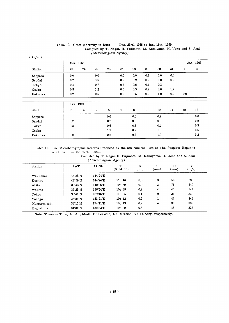|         | Dec. 1968 |    |     |     |              |     |         |        |     |              | Jan. 1969 |
|---------|-----------|----|-----|-----|--------------|-----|---------|--------|-----|--------------|-----------|
| Station | 23        | 24 | 25  | 26  | ${\bf 27}$   | 28  | 29      | 30     | 31  | $\mathbf{1}$ | $\bf{2}$  |
| Sapporo | 0.0       |    | 0.0 |     | 0.0          | 0.0 | 0.2     | 0.0    | 0.0 |              |           |
| Sendai  | 0.2       |    | 0.5 |     | 0.2          | 0.2 | 0.2     | 0.0    | 0.2 |              |           |
| Tokyo   | 0.4       |    | 0.7 |     | 0.2          | 0,6 | 0.4     | 0.3    |     |              |           |
| Osaka   | 0.5       |    | 1.2 |     | 0.5          | 0.5 | 0.2     | 0.0    | 1.7 |              |           |
| Fukuoka | 0.2       |    | 0.5 |     | 0.2          | 0.5 | $0.2\,$ | 1.0    | 0.2 | 0.0          |           |
|         | Jan. 1969 |    |     |     |              |     |         |        |     |              |           |
| Station | 3         | 4  | 5   | 6   | $\mathbf{7}$ | 8   | 9       | $10\,$ | 11  | 12           | 13        |
| Sapporo |           |    |     | 0.0 |              | 0.0 |         | 0.2    |     |              | 0.0       |
| Sendai  | 0.2       |    |     | 0.2 |              | 0.2 |         | 0.2    |     |              | 0.2       |
| Tokyo   | 0.2       |    |     | 0.6 |              | 0.3 |         | 0.4    |     |              | 0.3       |
| Osaka   |           |    |     | 1.2 |              | 0.2 |         | 1.0    |     |              | 0.5       |
| Fukuoka | 0.2       |    |     | 0.2 |              | 0.7 |         | 1.0    |     |              | 0.2       |

Table 10. Gross  $\beta$ -activity in Dust -Dec. 23rd, 1968 to Jan. 13th, 1969--Compiled by T. Nagai, H. Fujimoto, M. Kamiyama, H. Ueno and S. Arai (Meteorological Agency)

Table 11. The Microbarographic Records Produced by the 8th Nuclear Test of The People's Republic of China  $-$ Dec. 27th, 1968 $-$ 

| Compiled by T. Nagai, H. Fujimoto, M. Kamiyama, H. Ueno and S. Arai |  |  |  |  |
|---------------------------------------------------------------------|--|--|--|--|
| (Meteorological Agency)                                             |  |  |  |  |

| Station      | LAT.                     | LONG.             | ጥ<br>(G, M, T.) | A<br>(mb) | P<br>(min) | D<br>(min) | v<br>(m/s) |
|--------------|--------------------------|-------------------|-----------------|-----------|------------|------------|------------|
| Wakkanai     | 45°25′N                  | $144^{\circ}24'E$ |                 |           |            |            |            |
| Kushiro      | 42°59'N                  | 144°24'E          | 11:16           | 0.3       | 3          | 50         | 333        |
| Akita        | $39^{\circ}43'$ N        | 140°06'E          | 10:59           | 0.2       | 3          | 76         | 340        |
| Wajima       | $37^{\circ}23'$ N        | 136°54'E          | 10:49           | 0.2       | 4          | 46         | 344        |
| Tokyo        | $35^{\circ}41'$ N        | 139°46′E          | 11:05           | 0.1       | 2          | 31         | 340        |
| Yonago       | $35^{\circ}26'$ N        | 133°21′E          | 10:42           | 0.2       |            | 46         | 346        |
| Murotomisaki | 33°15′N                  | 134°11′E          | 10:49           | 0.2       | 4          | 30         | 339        |
| Kagoshima    | $31^{\circ}34^{\prime}N$ | 130°33′E          | 10:39           | 0.6       |            | 45         | 337        |

Note. T means Time, A: Amplitude, P: Periodic, D: Duration, V: Velocity, respectively.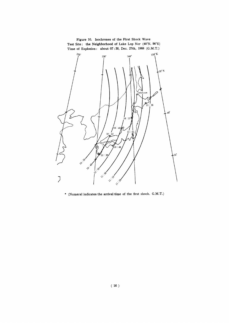

\* (Numeral indicates the arrival time of the first shock.  $G.M.T.)$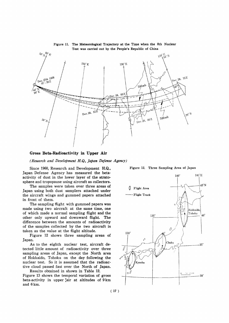

Figure 11. The Meteorological Trajectory at the Time when the 8th Nuclear Test was carried out by the People's Republic of China

Gross Beta-Radioactivity in Upper Air

(Research and Development H.Q., Japan Defense Agency)

Since 1960, Research and Development H.Q., Figure 12. Three Sampling Area of Japan Japan Defense Agency has measured the betaactivity of dust in the lower layer of the strato-

sphere and tropopause using aircraft as collectors. The samples were taken over three areas of Japan using both dust samplers attached under the aircraft wings and gummed papers attached in front of them.

The sampling flight with gummed papers was made using two aircraft at the same time, one of which made a normal sampling flight and the other only upward and downward flight. The difference between the amounts of radioactivity of the samples collected by the two aircraft is taken as the value at the flight altitude.

Figure 12 shows three sampling areas of Japan.

As to the eighth nuclear test, aircraft detected little amount of radioactivity over three sampling areas of Japan, except the North area of Hokkaido, Tohoku on the day following the nuclear test. So it is assumed that the radioactive cloud passed fast over the North of Japan.

Results obtained in shown in Table 12. Figure 13 shows the temporal variation of gross beta-activity in upper fair at altitudes of 9 km and 6 km.

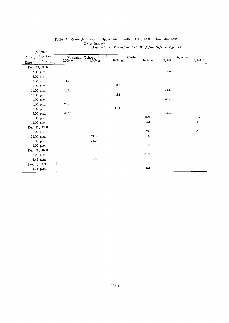| $(pCi/m^3)$   |                              |                       |                       |             |                   |
|---------------|------------------------------|-----------------------|-----------------------|-------------|-------------------|
| Sky Area      | Hokkaido, Tohoku             | Chubu                 |                       | Kyushu      |                   |
| Date          | 6,000 m<br>$9,000 \text{ m}$ | $9,000 \; \mathrm{m}$ | $6,000 \; \mathrm{m}$ | $9{,}000$ m | $6,000 \text{ m}$ |
| Dec. 28, 1968 |                              |                       |                       |             |                   |
| 7.30 a.m.     |                              |                       |                       | 17.4        |                   |
| 8.00 a.m.     |                              | $1.6\,$               |                       |             |                   |
| 8.30 a.m.     | 16.5                         |                       |                       |             |                   |
| 10.00 a.m.    |                              | 8.5                   |                       |             |                   |
| 11.00 a.m.    | 38.3                         |                       |                       | 31.8        |                   |
| 12.00 p.m.    |                              | 2.3                   |                       |             |                   |
| $1.00$ p.m.   |                              |                       |                       | 33.7        |                   |
| 1.00 p.m.     | 755.6                        |                       |                       |             |                   |
| 2.00 p.m.     |                              | $11.1$                |                       |             |                   |
| $3.00$ p.m.   | 467.6                        |                       |                       | 34.1        |                   |
| 8.00 p.m.     |                              |                       | 29.3                  |             | 31.7              |
| 12.00 a.m.    |                              |                       | 3.4                   |             | 14.4              |
| Dec. 29, 1968 |                              |                       |                       |             |                   |
| 8.00 a.m.     |                              |                       | 2.0                   |             | $8.0\,$           |
| 11.00 a.m.    | 24.0                         |                       | $1.0\,$               |             |                   |
| $1.00$ p.m.   | 35.0                         |                       |                       |             |                   |
| 2.00 p.m.     |                              |                       | $1.3\,$               |             |                   |
| Dec. 30, 1668 |                              |                       |                       |             |                   |
| 8.00 a.m.     |                              |                       | $\rm 0.82$            |             |                   |
| 8.45 a.m.     | $2.6\,$                      |                       |                       |             |                   |
| Jan. 6, 1969  |                              |                       |                       |             |                   |
| 1.15 p.m.     |                              |                       | 0.4                   |             |                   |

### Table 12. Gross β-activity in Upper Air -Dec. 28th, 1968<br>By S. Igarashi (Research and Development H. Q., Japan Defense Agency)